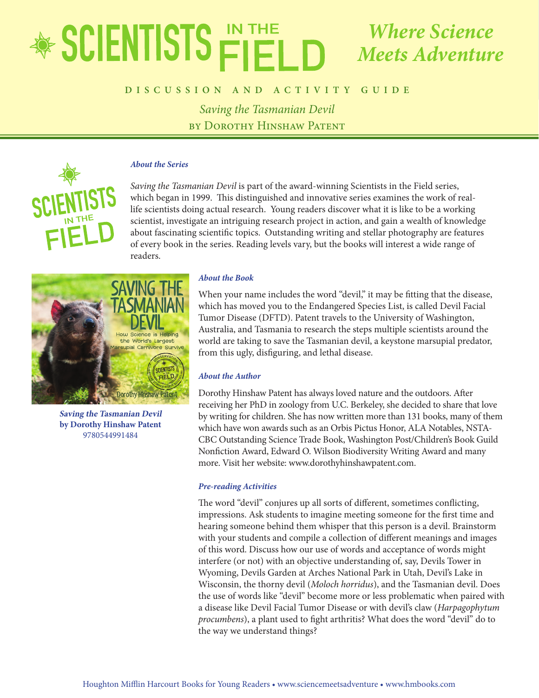### EDUCATOR'S GUIDE *Saving the Tasmanian Devil Where Science Meets Adventure*

# **by Dorothy Hinshaw Patent DISCUSSION AND ACTIVITY GUIDE**

*Saving the Tasmanian Devil* by Dorothy Hinshaw Patent



### *About the Series*

*Saving the Tasmanian Devil* is part of the award-winning Scientists in the Field series, which began in 1999. This distinguished and innovative series examines the work of reallife scientists doing actual research. Young readers discover what it is like to be a working scientist, investigate an intriguing research project in action, and gain a wealth of knowledge about fascinating scientific topics. Outstanding writing and stellar photography are features of every book in the series. Reading levels vary, but the books will interest a wide range of readers.



**Saving the Tasmanian Devil by Dorothy Hinshaw Patent** 9780544991484

#### *About the Book*

When your name includes the word "devil," it may be fitting that the disease, which has moved you to the Endangered Species List, is called Devil Facial Tumor Disease (DFTD). Patent travels to the University of Washington, Australia, and Tasmania to research the steps multiple scientists around the world are taking to save the Tasmanian devil, a keystone marsupial predator, from this ugly, disfiguring, and lethal disease.

#### *About the Author*

Dorothy Hinshaw Patent has always loved nature and the outdoors. After receiving her PhD in zoology from U.C. Berkeley, she decided to share that love by writing for children. She has now written more than 131 books, many of them which have won awards such as an Orbis Pictus Honor, ALA Notables, NSTA-CBC Outstanding Science Trade Book, Washington Post/Children's Book Guild Nonfiction Award, Edward O. Wilson Biodiversity Writing Award and many more. Visit her website: www.dorothyhinshawpatent.com.

#### *Pre-reading Activities*

The word "devil" conjures up all sorts of different, sometimes conflicting, impressions. Ask students to imagine meeting someone for the first time and hearing someone behind them whisper that this person is a devil. Brainstorm with your students and compile a collection of different meanings and images of this word. Discuss how our use of words and acceptance of words might interfere (or not) with an objective understanding of, say, Devils Tower in Wyoming, Devils Garden at Arches National Park in Utah, Devil's Lake in Wisconsin, the thorny devil (*Moloch horridus*), and the Tasmanian devil. Does the use of words like "devil" become more or less problematic when paired with a disease like Devil Facial Tumor Disease or with devil's claw (*Harpagophytum procumbens*), a plant used to fight arthritis? What does the word "devil" do to the way we understand things?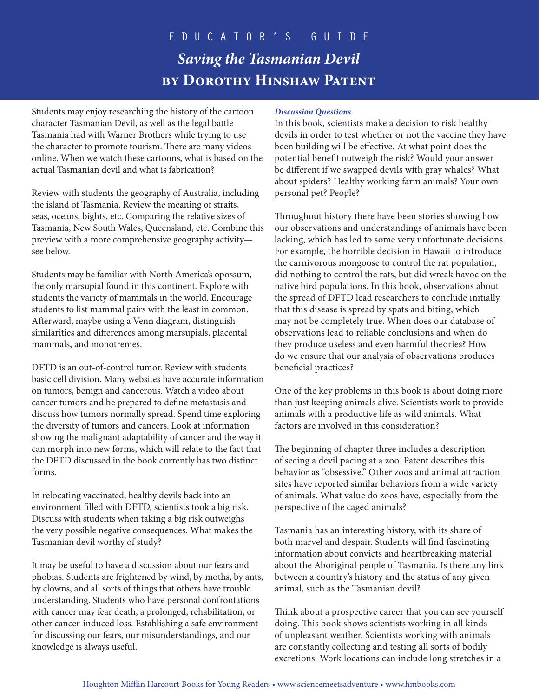Students may enjoy researching the history of the cartoon character Tasmanian Devil, as well as the legal battle Tasmania had with Warner Brothers while trying to use the character to promote tourism. There are many videos online. When we watch these cartoons, what is based on the actual Tasmanian devil and what is fabrication?

Review with students the geography of Australia, including the island of Tasmania. Review the meaning of straits, seas, oceans, bights, etc. Comparing the relative sizes of Tasmania, New South Wales, Queensland, etc. Combine this preview with a more comprehensive geography activity see below.

Students may be familiar with North America's opossum, the only marsupial found in this continent. Explore with students the variety of mammals in the world. Encourage students to list mammal pairs with the least in common. Afterward, maybe using a Venn diagram, distinguish similarities and differences among marsupials, placental mammals, and monotremes.

DFTD is an out-of-control tumor. Review with students basic cell division. Many websites have accurate information on tumors, benign and cancerous. Watch a video about cancer tumors and be prepared to define metastasis and discuss how tumors normally spread. Spend time exploring the diversity of tumors and cancers. Look at information showing the malignant adaptability of cancer and the way it can morph into new forms, which will relate to the fact that the DFTD discussed in the book currently has two distinct forms.

In relocating vaccinated, healthy devils back into an environment filled with DFTD, scientists took a big risk. Discuss with students when taking a big risk outweighs the very possible negative consequences. What makes the Tasmanian devil worthy of study?

It may be useful to have a discussion about our fears and phobias. Students are frightened by wind, by moths, by ants, by clowns, and all sorts of things that others have trouble understanding. Students who have personal confrontations with cancer may fear death, a prolonged, rehabilitation, or other cancer-induced loss. Establishing a safe environment for discussing our fears, our misunderstandings, and our knowledge is always useful.

### *Discussion Questions*

In this book, scientists make a decision to risk healthy devils in order to test whether or not the vaccine they have been building will be effective. At what point does the potential benefit outweigh the risk? Would your answer be different if we swapped devils with gray whales? What about spiders? Healthy working farm animals? Your own personal pet? People?

Throughout history there have been stories showing how our observations and understandings of animals have been lacking, which has led to some very unfortunate decisions. For example, the horrible decision in Hawaii to introduce the carnivorous mongoose to control the rat population, did nothing to control the rats, but did wreak havoc on the native bird populations. In this book, observations about the spread of DFTD lead researchers to conclude initially that this disease is spread by spats and biting, which may not be completely true. When does our database of observations lead to reliable conclusions and when do they produce useless and even harmful theories? How do we ensure that our analysis of observations produces beneficial practices?

One of the key problems in this book is about doing more than just keeping animals alive. Scientists work to provide animals with a productive life as wild animals. What factors are involved in this consideration?

The beginning of chapter three includes a description of seeing a devil pacing at a zoo. Patent describes this behavior as "obsessive." Other zoos and animal attraction sites have reported similar behaviors from a wide variety of animals. What value do zoos have, especially from the perspective of the caged animals?

Tasmania has an interesting history, with its share of both marvel and despair. Students will find fascinating information about convicts and heartbreaking material about the Aboriginal people of Tasmania. Is there any link between a country's history and the status of any given animal, such as the Tasmanian devil?

Think about a prospective career that you can see yourself doing. This book shows scientists working in all kinds of unpleasant weather. Scientists working with animals are constantly collecting and testing all sorts of bodily excretions. Work locations can include long stretches in a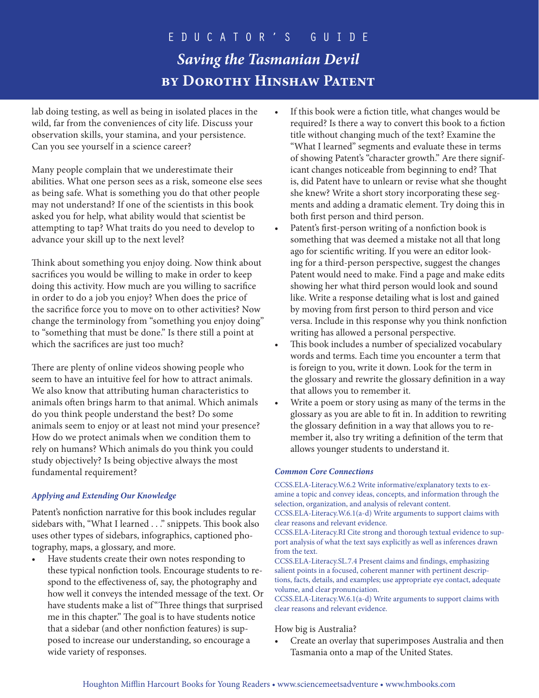lab doing testing, as well as being in isolated places in the wild, far from the conveniences of city life. Discuss your observation skills, your stamina, and your persistence. Can you see yourself in a science career?

Many people complain that we underestimate their abilities. What one person sees as a risk, someone else sees as being safe. What is something you do that other people may not understand? If one of the scientists in this book asked you for help, what ability would that scientist be attempting to tap? What traits do you need to develop to advance your skill up to the next level?

Think about something you enjoy doing. Now think about sacrifices you would be willing to make in order to keep doing this activity. How much are you willing to sacrifice in order to do a job you enjoy? When does the price of the sacrifice force you to move on to other activities? Now change the terminology from "something you enjoy doing" to "something that must be done." Is there still a point at which the sacrifices are just too much?

There are plenty of online videos showing people who seem to have an intuitive feel for how to attract animals. We also know that attributing human characteristics to animals often brings harm to that animal. Which animals do you think people understand the best? Do some animals seem to enjoy or at least not mind your presence? How do we protect animals when we condition them to rely on humans? Which animals do you think you could study objectively? Is being objective always the most fundamental requirement?

### *Applying and Extending Our Knowledge*

Patent's nonfiction narrative for this book includes regular sidebars with, "What I learned . . ." snippets. This book also uses other types of sidebars, infographics, captioned photography, maps, a glossary, and more.

Have students create their own notes responding to these typical nonfiction tools. Encourage students to respond to the effectiveness of, say, the photography and how well it conveys the intended message of the text. Or have students make a list of "Three things that surprised me in this chapter." The goal is to have students notice that a sidebar (and other nonfiction features) is supposed to increase our understanding, so encourage a wide variety of responses.

- If this book were a fiction title, what changes would be required? Is there a way to convert this book to a fiction title without changing much of the text? Examine the "What I learned" segments and evaluate these in terms of showing Patent's "character growth." Are there significant changes noticeable from beginning to end? That is, did Patent have to unlearn or revise what she thought she knew? Write a short story incorporating these segments and adding a dramatic element. Try doing this in both first person and third person.
- Patent's first-person writing of a nonfiction book is something that was deemed a mistake not all that long ago for scientific writing. If you were an editor looking for a third-person perspective, suggest the changes Patent would need to make. Find a page and make edits showing her what third person would look and sound like. Write a response detailing what is lost and gained by moving from first person to third person and vice versa. Include in this response why you think nonfiction writing has allowed a personal perspective.
- This book includes a number of specialized vocabulary words and terms. Each time you encounter a term that is foreign to you, write it down. Look for the term in the glossary and rewrite the glossary definition in a way that allows you to remember it.
- Write a poem or story using as many of the terms in the glossary as you are able to fit in. In addition to rewriting the glossary definition in a way that allows you to remember it, also try writing a definition of the term that allows younger students to understand it.

### *Common Core Connections*

CCSS.ELA-Literacy.W.6.2 Write informative/explanatory texts to examine a topic and convey ideas, concepts, and information through the selection, organization, and analysis of relevant content.

CCSS.ELA-Literacy.W.6.1(a-d) Write arguments to support claims with clear reasons and relevant evidence.

CCSS.ELA-Literacy.RI Cite strong and thorough textual evidence to support analysis of what the text says explicitly as well as inferences drawn from the text.

CCSS.ELA-Literacy.SL.7.4 Present claims and findings, emphasizing salient points in a focused, coherent manner with pertinent descriptions, facts, details, and examples; use appropriate eye contact, adequate volume, and clear pronunciation.

CCSS.ELA-Literacy.W.6.1(a-d) Write arguments to support claims with clear reasons and relevant evidence.

### How big is Australia?

• Create an overlay that superimposes Australia and then Tasmania onto a map of the United States.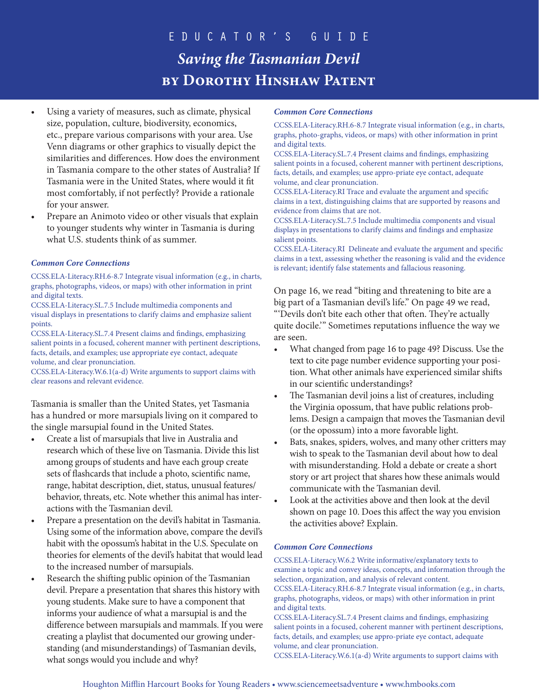- Using a variety of measures, such as climate, physical size, population, culture, biodiversity, economics, etc., prepare various comparisons with your area. Use Venn diagrams or other graphics to visually depict the similarities and differences. How does the environment in Tasmania compare to the other states of Australia? If Tasmania were in the United States, where would it fit most comfortably, if not perfectly? Provide a rationale for your answer.
- Prepare an Animoto video or other visuals that explain to younger students why winter in Tasmania is during what U.S. students think of as summer.

### *Common Core Connections*

CCSS.ELA-Literacy.RH.6-8.7 Integrate visual information (e.g., in charts, graphs, photographs, videos, or maps) with other information in print and digital texts.

CCSS.ELA-Literacy.SL.7.5 Include multimedia components and visual displays in presentations to clarify claims and emphasize salient points.

CCSS.ELA-Literacy.SL.7.4 Present claims and findings, emphasizing salient points in a focused, coherent manner with pertinent descriptions, facts, details, and examples; use appropriate eye contact, adequate volume, and clear pronunciation.

CCSS.ELA-Literacy.W.6.1(a-d) Write arguments to support claims with clear reasons and relevant evidence.

Tasmania is smaller than the United States, yet Tasmania has a hundred or more marsupials living on it compared to the single marsupial found in the United States.

- Create a list of marsupials that live in Australia and research which of these live on Tasmania. Divide this list among groups of students and have each group create sets of flashcards that include a photo, scientific name, range, habitat description, diet, status, unusual features/ behavior, threats, etc. Note whether this animal has interactions with the Tasmanian devil.
- Prepare a presentation on the devil's habitat in Tasmania. Using some of the information above, compare the devil's habit with the opossum's habitat in the U.S. Speculate on theories for elements of the devil's habitat that would lead to the increased number of marsupials.
- Research the shifting public opinion of the Tasmanian devil. Prepare a presentation that shares this history with young students. Make sure to have a component that informs your audience of what a marsupial is and the difference between marsupials and mammals. If you were creating a playlist that documented our growing understanding (and misunderstandings) of Tasmanian devils, what songs would you include and why?

#### *Common Core Connections*

CCSS.ELA-Literacy.RH.6-8.7 Integrate visual information (e.g., in charts, graphs, photo-graphs, videos, or maps) with other information in print and digital texts.

CCSS.ELA-Literacy.SL.7.4 Present claims and findings, emphasizing salient points in a focused, coherent manner with pertinent descriptions, facts, details, and examples; use appro-priate eye contact, adequate volume, and clear pronunciation.

CCSS.ELA-Literacy.RI Trace and evaluate the argument and specific claims in a text, distinguishing claims that are supported by reasons and evidence from claims that are not.

CCSS.ELA-Literacy.SL.7.5 Include multimedia components and visual displays in presentations to clarify claims and findings and emphasize salient points.

CCSS.ELA-Literacy.RI Delineate and evaluate the argument and specific claims in a text, assessing whether the reasoning is valid and the evidence is relevant; identify false statements and fallacious reasoning.

On page 16, we read "biting and threatening to bite are a big part of a Tasmanian devil's life." On page 49 we read, "'Devils don't bite each other that often. They're actually quite docile.'" Sometimes reputations influence the way we are seen.

- What changed from page 16 to page 49? Discuss. Use the text to cite page number evidence supporting your position. What other animals have experienced similar shifts in our scientific understandings?
- The Tasmanian devil joins a list of creatures, including the Virginia opossum, that have public relations problems. Design a campaign that moves the Tasmanian devil (or the opossum) into a more favorable light.
- Bats, snakes, spiders, wolves, and many other critters may wish to speak to the Tasmanian devil about how to deal with misunderstanding. Hold a debate or create a short story or art project that shares how these animals would communicate with the Tasmanian devil.
- Look at the activities above and then look at the devil shown on page 10. Does this affect the way you envision the activities above? Explain.

### *Common Core Connections*

CCSS.ELA-Literacy.W.6.2 Write informative/explanatory texts to examine a topic and convey ideas, concepts, and information through the selection, organization, and analysis of relevant content.

CCSS.ELA-Literacy.RH.6-8.7 Integrate visual information (e.g., in charts, graphs, photographs, videos, or maps) with other information in print and digital texts.

CCSS.ELA-Literacy.SL.7.4 Present claims and findings, emphasizing salient points in a focused, coherent manner with pertinent descriptions, facts, details, and examples; use appro-priate eye contact, adequate volume, and clear pronunciation.

CCSS.ELA-Literacy.W.6.1(a-d) Write arguments to support claims with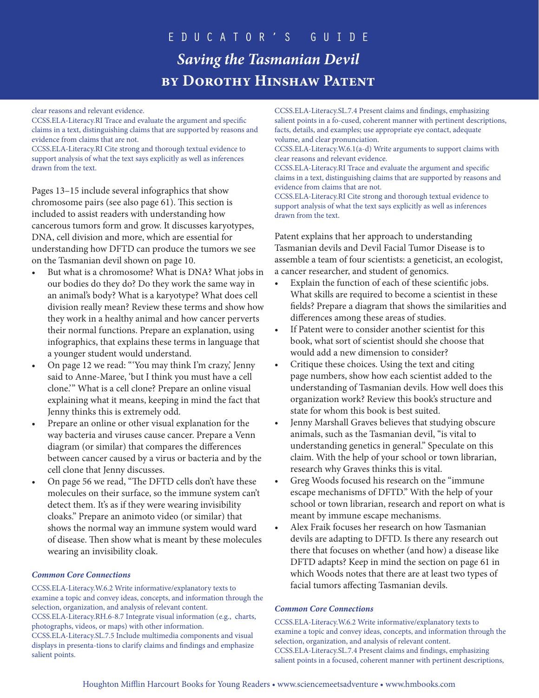clear reasons and relevant evidence.

CCSS.ELA-Literacy.RI Trace and evaluate the argument and specific claims in a text, distinguishing claims that are supported by reasons and evidence from claims that are not.

CCSS.ELA-Literacy.RI Cite strong and thorough textual evidence to support analysis of what the text says explicitly as well as inferences drawn from the text.

Pages 13–15 include several infographics that show chromosome pairs (see also page 61). This section is included to assist readers with understanding how cancerous tumors form and grow. It discusses karyotypes, DNA, cell division and more, which are essential for understanding how DFTD can produce the tumors we see on the Tasmanian devil shown on page 10.

- But what is a chromosome? What is DNA? What jobs in our bodies do they do? Do they work the same way in an animal's body? What is a karyotype? What does cell division really mean? Review these terms and show how they work in a healthy animal and how cancer perverts their normal functions. Prepare an explanation, using infographics, that explains these terms in language that a younger student would understand.
- On page 12 we read: "'You may think I'm crazy,' Jenny said to Anne-Maree, 'but I think you must have a cell clone.'" What is a cell clone? Prepare an online visual explaining what it means, keeping in mind the fact that Jenny thinks this is extremely odd.
- Prepare an online or other visual explanation for the way bacteria and viruses cause cancer. Prepare a Venn diagram (or similar) that compares the differences between cancer caused by a virus or bacteria and by the cell clone that Jenny discusses.
- On page 56 we read, "The DFTD cells don't have these molecules on their surface, so the immune system can't detect them. It's as if they were wearing invisibility cloaks." Prepare an animoto video (or similar) that shows the normal way an immune system would ward of disease. Then show what is meant by these molecules wearing an invisibility cloak.

### *Common Core Connections*

CCSS.ELA-Literacy.W.6.2 Write informative/explanatory texts to examine a topic and convey ideas, concepts, and information through the selection, organization, and analysis of relevant content. CCSS.ELA-Literacy.RH.6-8.7 Integrate visual information (e.g., charts, photographs, videos, or maps) with other information. CCSS.ELA-Literacy.SL.7.5 Include multimedia components and visual displays in presenta-tions to clarify claims and findings and emphasize salient points.

CCSS.ELA-Literacy.SL.7.4 Present claims and findings, emphasizing salient points in a fo-cused, coherent manner with pertinent descriptions, facts, details, and examples; use appropriate eye contact, adequate volume, and clear pronunciation.

CCSS.ELA-Literacy.W.6.1(a-d) Write arguments to support claims with clear reasons and relevant evidence.

CCSS.ELA-Literacy.RI Trace and evaluate the argument and specific claims in a text, distinguishing claims that are supported by reasons and evidence from claims that are not.

CCSS.ELA-Literacy.RI Cite strong and thorough textual evidence to support analysis of what the text says explicitly as well as inferences drawn from the text.

Patent explains that her approach to understanding Tasmanian devils and Devil Facial Tumor Disease is to assemble a team of four scientists: a geneticist, an ecologist, a cancer researcher, and student of genomics.

- Explain the function of each of these scientific jobs. What skills are required to become a scientist in these fields? Prepare a diagram that shows the similarities and differences among these areas of studies.
- If Patent were to consider another scientist for this book, what sort of scientist should she choose that would add a new dimension to consider?
- Critique these choices. Using the text and citing page numbers, show how each scientist added to the understanding of Tasmanian devils. How well does this organization work? Review this book's structure and state for whom this book is best suited.
- Jenny Marshall Graves believes that studying obscure animals, such as the Tasmanian devil, "is vital to understanding genetics in general." Speculate on this claim. With the help of your school or town librarian, research why Graves thinks this is vital.
- Greg Woods focused his research on the "immune escape mechanisms of DFTD." With the help of your school or town librarian, research and report on what is meant by immune escape mechanisms.
- Alex Fraik focuses her research on how Tasmanian devils are adapting to DFTD. Is there any research out there that focuses on whether (and how) a disease like DFTD adapts? Keep in mind the section on page 61 in which Woods notes that there are at least two types of facial tumors affecting Tasmanian devils.

### *Common Core Connections*

CCSS.ELA-Literacy.W.6.2 Write informative/explanatory texts to examine a topic and convey ideas, concepts, and information through the selection, organization, and analysis of relevant content. CCSS.ELA-Literacy.SL.7.4 Present claims and findings, emphasizing salient points in a focused, coherent manner with pertinent descriptions,